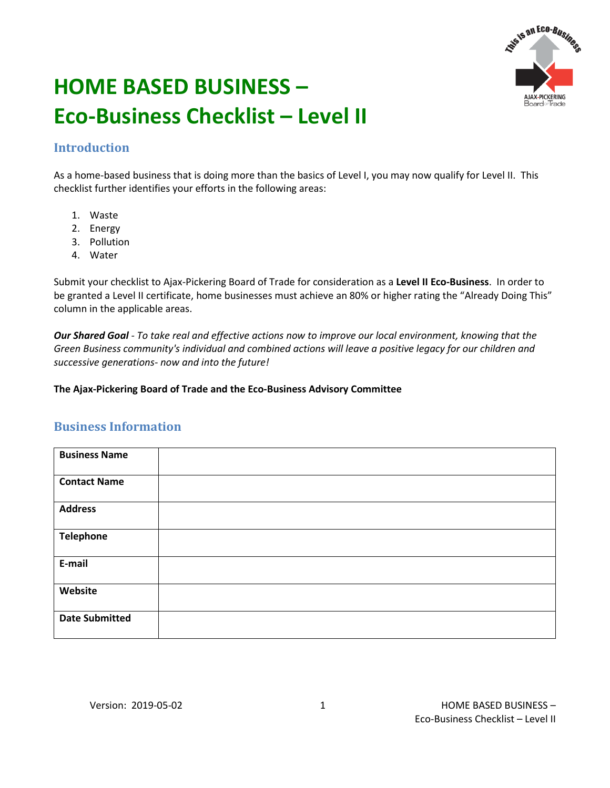

# **HOME BASED BUSINESS – Eco-Business Checklist – Level II**

## **Introduction**

As a home-based business that is doing more than the basics of Level I, you may now qualify for Level II. This checklist further identifies your efforts in the following areas:

- 1. Waste
- 2. Energy
- 3. Pollution
- 4. Water

Submit your checklist to Ajax-Pickering Board of Trade for consideration as a **Level II Eco-Business**. In order to be granted a Level II certificate, home businesses must achieve an 80% or higher rating the "Already Doing This" column in the applicable areas.

*Our Shared Goal - To take real and effective actions now to improve our local environment, knowing that the Green Business community's individual and combined actions will leave a positive legacy for our children and successive generations- now and into the future!* 

#### **The Ajax-Pickering Board of Trade and the Eco-Business Advisory Committee**

### **Business Information**

| <b>Business Name</b>  |  |
|-----------------------|--|
| <b>Contact Name</b>   |  |
| <b>Address</b>        |  |
| <b>Telephone</b>      |  |
| E-mail                |  |
| Website               |  |
| <b>Date Submitted</b> |  |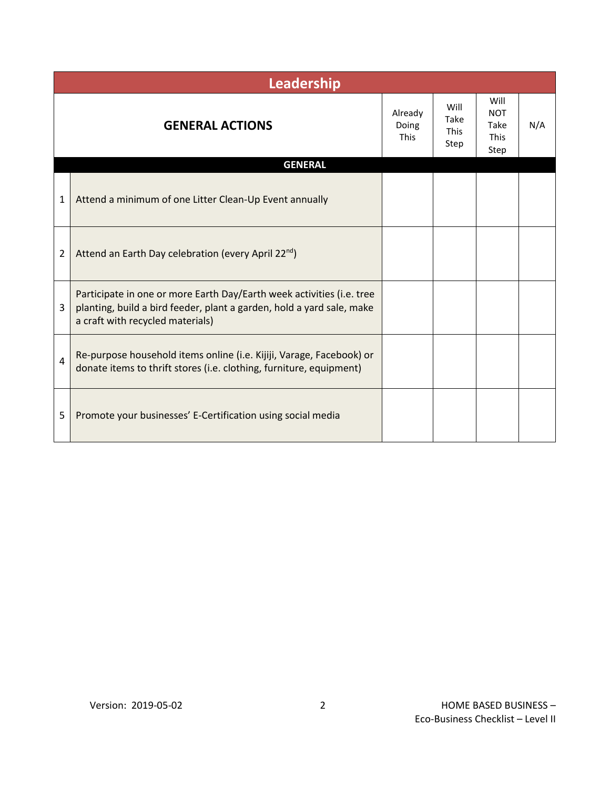|                | Leadership                                                                                                                                                                         |  |                                     |                                                   |     |  |  |  |
|----------------|------------------------------------------------------------------------------------------------------------------------------------------------------------------------------------|--|-------------------------------------|---------------------------------------------------|-----|--|--|--|
|                | <b>GENERAL ACTIONS</b>                                                                                                                                                             |  | Will<br>Take<br><b>This</b><br>Step | Will<br><b>NOT</b><br>Take<br><b>This</b><br>Step | N/A |  |  |  |
|                | <b>GENERAL</b>                                                                                                                                                                     |  |                                     |                                                   |     |  |  |  |
| 1              | Attend a minimum of one Litter Clean-Up Event annually                                                                                                                             |  |                                     |                                                   |     |  |  |  |
| $\overline{2}$ | Attend an Earth Day celebration (every April 22 <sup>nd</sup> )                                                                                                                    |  |                                     |                                                   |     |  |  |  |
| 3              | Participate in one or more Earth Day/Earth week activities (i.e. tree<br>planting, build a bird feeder, plant a garden, hold a yard sale, make<br>a craft with recycled materials) |  |                                     |                                                   |     |  |  |  |
| 4              | Re-purpose household items online (i.e. Kijiji, Varage, Facebook) or<br>donate items to thrift stores (i.e. clothing, furniture, equipment)                                        |  |                                     |                                                   |     |  |  |  |
| 5              | Promote your businesses' E-Certification using social media                                                                                                                        |  |                                     |                                                   |     |  |  |  |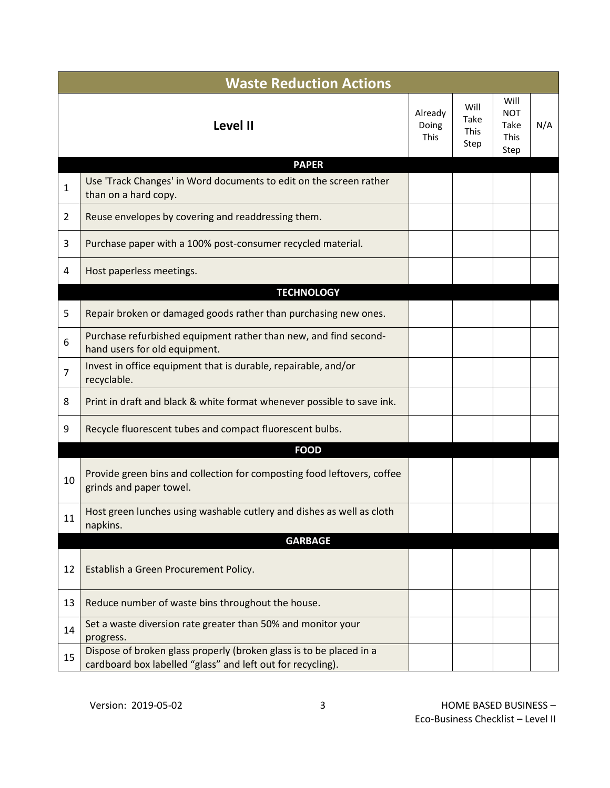|                | <b>Waste Reduction Actions</b>                                                                                                     |                                 |                                     |                                            |     |  |
|----------------|------------------------------------------------------------------------------------------------------------------------------------|---------------------------------|-------------------------------------|--------------------------------------------|-----|--|
|                | Level II                                                                                                                           | Already<br>Doing<br><b>This</b> | Will<br>Take<br><b>This</b><br>Step | Will<br><b>NOT</b><br>Take<br>This<br>Step | N/A |  |
|                | <b>PAPER</b>                                                                                                                       |                                 |                                     |                                            |     |  |
| 1              | Use 'Track Changes' in Word documents to edit on the screen rather<br>than on a hard copy.                                         |                                 |                                     |                                            |     |  |
| $\overline{2}$ | Reuse envelopes by covering and readdressing them.                                                                                 |                                 |                                     |                                            |     |  |
| 3              | Purchase paper with a 100% post-consumer recycled material.                                                                        |                                 |                                     |                                            |     |  |
| 4              | Host paperless meetings.                                                                                                           |                                 |                                     |                                            |     |  |
|                | <b>TECHNOLOGY</b>                                                                                                                  |                                 |                                     |                                            |     |  |
| 5              | Repair broken or damaged goods rather than purchasing new ones.                                                                    |                                 |                                     |                                            |     |  |
| 6              | Purchase refurbished equipment rather than new, and find second-<br>hand users for old equipment.                                  |                                 |                                     |                                            |     |  |
| $\overline{7}$ | Invest in office equipment that is durable, repairable, and/or<br>recyclable.                                                      |                                 |                                     |                                            |     |  |
| 8              | Print in draft and black & white format whenever possible to save ink.                                                             |                                 |                                     |                                            |     |  |
| 9              | Recycle fluorescent tubes and compact fluorescent bulbs.                                                                           |                                 |                                     |                                            |     |  |
|                | <b>FOOD</b>                                                                                                                        |                                 |                                     |                                            |     |  |
| 10             | Provide green bins and collection for composting food leftovers, coffee<br>grinds and paper towel.                                 |                                 |                                     |                                            |     |  |
| 11             | Host green lunches using washable cutlery and dishes as well as cloth<br>napkins.                                                  |                                 |                                     |                                            |     |  |
|                | <b>GARBAGE</b>                                                                                                                     |                                 |                                     |                                            |     |  |
| 12             | Establish a Green Procurement Policy.                                                                                              |                                 |                                     |                                            |     |  |
| 13             | Reduce number of waste bins throughout the house.                                                                                  |                                 |                                     |                                            |     |  |
| 14             | Set a waste diversion rate greater than 50% and monitor your<br>progress.                                                          |                                 |                                     |                                            |     |  |
| 15             | Dispose of broken glass properly (broken glass is to be placed in a<br>cardboard box labelled "glass" and left out for recycling). |                                 |                                     |                                            |     |  |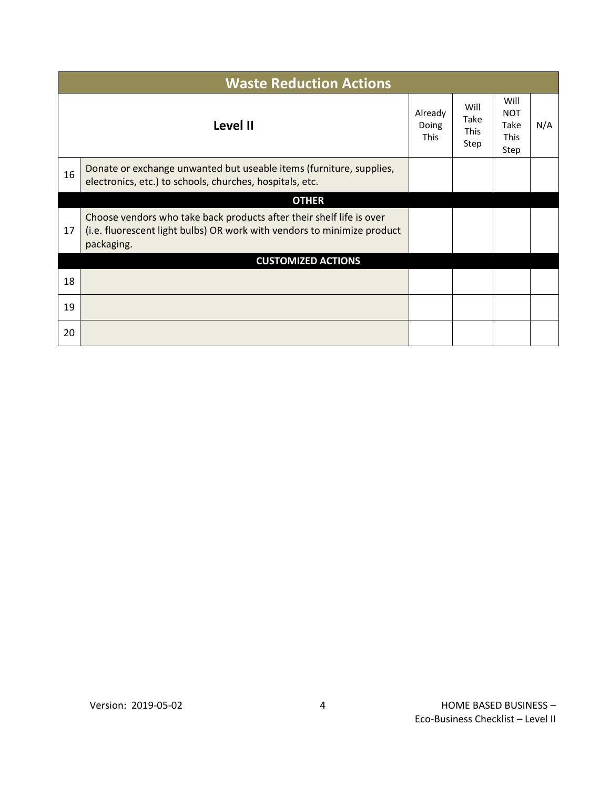|    | <b>Waste Reduction Actions</b>                                                                                                                                |  |                                     |                                                   |     |  |  |
|----|---------------------------------------------------------------------------------------------------------------------------------------------------------------|--|-------------------------------------|---------------------------------------------------|-----|--|--|
|    | Already<br>Level II                                                                                                                                           |  | Will<br>Take<br><b>This</b><br>Step | Will<br><b>NOT</b><br>Take<br><b>This</b><br>Step | N/A |  |  |
| 16 | Donate or exchange unwanted but useable items (furniture, supplies,<br>electronics, etc.) to schools, churches, hospitals, etc.                               |  |                                     |                                                   |     |  |  |
|    | <b>OTHER</b>                                                                                                                                                  |  |                                     |                                                   |     |  |  |
| 17 | Choose vendors who take back products after their shelf life is over<br>(i.e. fluorescent light bulbs) OR work with vendors to minimize product<br>packaging. |  |                                     |                                                   |     |  |  |
|    | <b>CUSTOMIZED ACTIONS</b>                                                                                                                                     |  |                                     |                                                   |     |  |  |
| 18 |                                                                                                                                                               |  |                                     |                                                   |     |  |  |
| 19 |                                                                                                                                                               |  |                                     |                                                   |     |  |  |
| 20 |                                                                                                                                                               |  |                                     |                                                   |     |  |  |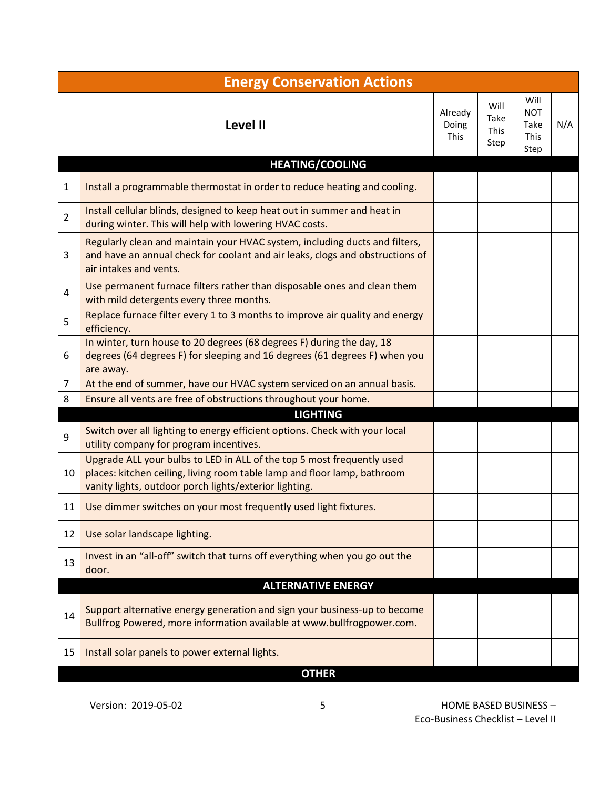|                | <b>Energy Conservation Actions</b>                                                                                                                                                                           |                                 |                                     |                                                   |     |
|----------------|--------------------------------------------------------------------------------------------------------------------------------------------------------------------------------------------------------------|---------------------------------|-------------------------------------|---------------------------------------------------|-----|
|                | <b>Level II</b>                                                                                                                                                                                              | Already<br>Doing<br><b>This</b> | Will<br>Take<br><b>This</b><br>Step | Will<br><b>NOT</b><br>Take<br><b>This</b><br>Step | N/A |
|                | <b>HEATING/COOLING</b>                                                                                                                                                                                       |                                 |                                     |                                                   |     |
| 1              | Install a programmable thermostat in order to reduce heating and cooling.                                                                                                                                    |                                 |                                     |                                                   |     |
| $\overline{2}$ | Install cellular blinds, designed to keep heat out in summer and heat in<br>during winter. This will help with lowering HVAC costs.                                                                          |                                 |                                     |                                                   |     |
| 3              | Regularly clean and maintain your HVAC system, including ducts and filters,<br>and have an annual check for coolant and air leaks, clogs and obstructions of<br>air intakes and vents.                       |                                 |                                     |                                                   |     |
| $\overline{4}$ | Use permanent furnace filters rather than disposable ones and clean them<br>with mild detergents every three months.                                                                                         |                                 |                                     |                                                   |     |
| 5              | Replace furnace filter every 1 to 3 months to improve air quality and energy<br>efficiency.                                                                                                                  |                                 |                                     |                                                   |     |
| 6              | In winter, turn house to 20 degrees (68 degrees F) during the day, 18<br>degrees (64 degrees F) for sleeping and 16 degrees (61 degrees F) when you<br>are away.                                             |                                 |                                     |                                                   |     |
| $\overline{7}$ | At the end of summer, have our HVAC system serviced on an annual basis.                                                                                                                                      |                                 |                                     |                                                   |     |
| 8              | Ensure all vents are free of obstructions throughout your home.                                                                                                                                              |                                 |                                     |                                                   |     |
|                | <b>LIGHTING</b>                                                                                                                                                                                              |                                 |                                     |                                                   |     |
| 9              | Switch over all lighting to energy efficient options. Check with your local<br>utility company for program incentives.                                                                                       |                                 |                                     |                                                   |     |
| 10             | Upgrade ALL your bulbs to LED in ALL of the top 5 most frequently used<br>places: kitchen ceiling, living room table lamp and floor lamp, bathroom<br>vanity lights, outdoor porch lights/exterior lighting. |                                 |                                     |                                                   |     |
| 11             | Use dimmer switches on your most frequently used light fixtures.                                                                                                                                             |                                 |                                     |                                                   |     |
| 12             | Use solar landscape lighting.                                                                                                                                                                                |                                 |                                     |                                                   |     |
| 13             | Invest in an "all-off" switch that turns off everything when you go out the<br>door.                                                                                                                         |                                 |                                     |                                                   |     |
|                | <b>ALTERNATIVE ENERGY</b>                                                                                                                                                                                    |                                 |                                     |                                                   |     |
| 14             | Support alternative energy generation and sign your business-up to become<br>Bullfrog Powered, more information available at www.bullfrogpower.com.                                                          |                                 |                                     |                                                   |     |
| 15             | Install solar panels to power external lights.                                                                                                                                                               |                                 |                                     |                                                   |     |
|                | <b>OTHER</b>                                                                                                                                                                                                 |                                 |                                     |                                                   |     |

Version: 2019-05-02 5 HOME BASED BUSINESS – Eco-Business Checklist – Level II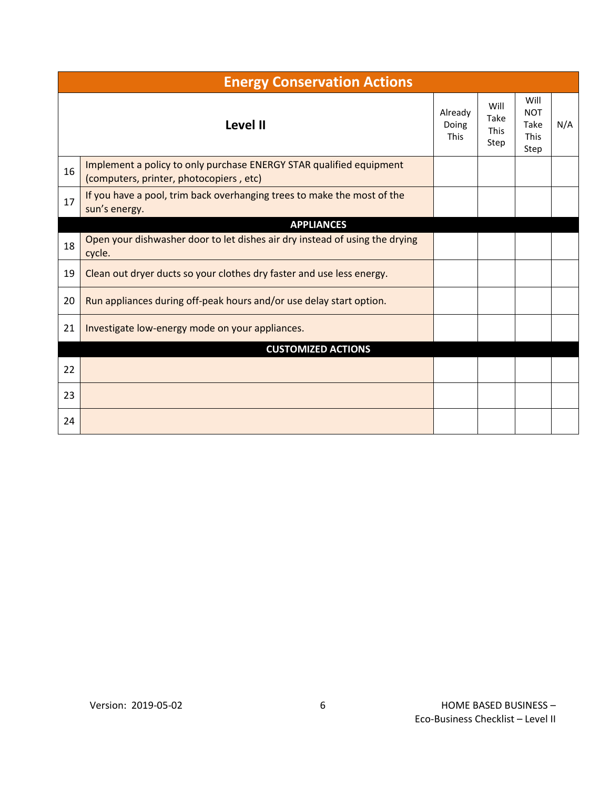|    | <b>Energy Conservation Actions</b>                                                                             |                                 |                                     |                                                   |     |  |
|----|----------------------------------------------------------------------------------------------------------------|---------------------------------|-------------------------------------|---------------------------------------------------|-----|--|
|    | <b>Level II</b>                                                                                                | Already<br>Doing<br><b>This</b> | Will<br>Take<br><b>This</b><br>Step | Will<br><b>NOT</b><br>Take<br><b>This</b><br>Step | N/A |  |
| 16 | Implement a policy to only purchase ENERGY STAR qualified equipment<br>(computers, printer, photocopiers, etc) |                                 |                                     |                                                   |     |  |
| 17 | If you have a pool, trim back overhanging trees to make the most of the<br>sun's energy.                       |                                 |                                     |                                                   |     |  |
|    | <b>APPLIANCES</b>                                                                                              |                                 |                                     |                                                   |     |  |
| 18 | Open your dishwasher door to let dishes air dry instead of using the drying<br>cycle.                          |                                 |                                     |                                                   |     |  |
| 19 | Clean out dryer ducts so your clothes dry faster and use less energy.                                          |                                 |                                     |                                                   |     |  |
| 20 | Run appliances during off-peak hours and/or use delay start option.                                            |                                 |                                     |                                                   |     |  |
| 21 | Investigate low-energy mode on your appliances.                                                                |                                 |                                     |                                                   |     |  |
|    | <b>CUSTOMIZED ACTIONS</b>                                                                                      |                                 |                                     |                                                   |     |  |
| 22 |                                                                                                                |                                 |                                     |                                                   |     |  |
| 23 |                                                                                                                |                                 |                                     |                                                   |     |  |
| 24 |                                                                                                                |                                 |                                     |                                                   |     |  |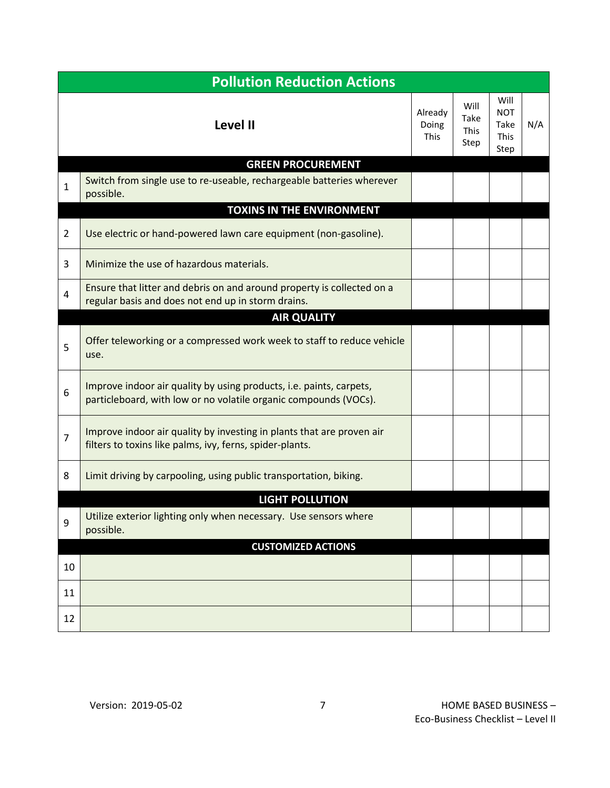| <b>Pollution Reduction Actions</b> |                                                                                                                                         |                                 |                                     |                                                   |     |
|------------------------------------|-----------------------------------------------------------------------------------------------------------------------------------------|---------------------------------|-------------------------------------|---------------------------------------------------|-----|
|                                    | <b>Level II</b>                                                                                                                         | Already<br>Doing<br><b>This</b> | Will<br>Take<br><b>This</b><br>Step | Will<br><b>NOT</b><br>Take<br><b>This</b><br>Step | N/A |
| $\mathbf{1}$                       | <b>GREEN PROCUREMENT</b><br>Switch from single use to re-useable, rechargeable batteries wherever<br>possible.                          |                                 |                                     |                                                   |     |
|                                    | <b>TOXINS IN THE ENVIRONMENT</b>                                                                                                        |                                 |                                     |                                                   |     |
| $\overline{2}$                     | Use electric or hand-powered lawn care equipment (non-gasoline).                                                                        |                                 |                                     |                                                   |     |
| 3                                  | Minimize the use of hazardous materials.                                                                                                |                                 |                                     |                                                   |     |
| $\overline{4}$                     | Ensure that litter and debris on and around property is collected on a<br>regular basis and does not end up in storm drains.            |                                 |                                     |                                                   |     |
|                                    | <b>AIR QUALITY</b>                                                                                                                      |                                 |                                     |                                                   |     |
| 5                                  | Offer teleworking or a compressed work week to staff to reduce vehicle<br>use.                                                          |                                 |                                     |                                                   |     |
| 6                                  | Improve indoor air quality by using products, i.e. paints, carpets,<br>particleboard, with low or no volatile organic compounds (VOCs). |                                 |                                     |                                                   |     |
| $\overline{7}$                     | Improve indoor air quality by investing in plants that are proven air<br>filters to toxins like palms, ivy, ferns, spider-plants.       |                                 |                                     |                                                   |     |
| 8                                  | Limit driving by carpooling, using public transportation, biking.                                                                       |                                 |                                     |                                                   |     |
|                                    | <b>LIGHT POLLUTION</b>                                                                                                                  |                                 |                                     |                                                   |     |
| 9                                  | Utilize exterior lighting only when necessary. Use sensors where<br>possible.                                                           |                                 |                                     |                                                   |     |
|                                    | <b>CUSTOMIZED ACTIONS</b>                                                                                                               |                                 |                                     |                                                   |     |
| 10                                 |                                                                                                                                         |                                 |                                     |                                                   |     |
| 11                                 |                                                                                                                                         |                                 |                                     |                                                   |     |
| 12                                 |                                                                                                                                         |                                 |                                     |                                                   |     |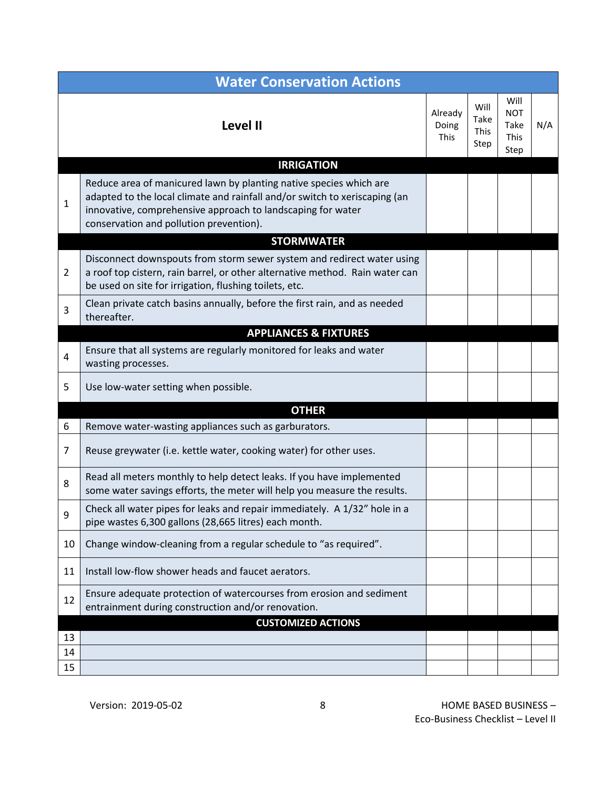|                | <b>Water Conservation Actions</b>                                                                                                                                                                                                                          |                                 |                                     |                                                   |     |  |  |
|----------------|------------------------------------------------------------------------------------------------------------------------------------------------------------------------------------------------------------------------------------------------------------|---------------------------------|-------------------------------------|---------------------------------------------------|-----|--|--|
|                | Level II                                                                                                                                                                                                                                                   | Already<br>Doing<br><b>This</b> | Will<br>Take<br><b>This</b><br>Step | Will<br><b>NOT</b><br>Take<br><b>This</b><br>Step | N/A |  |  |
|                | <b>IRRIGATION</b>                                                                                                                                                                                                                                          |                                 |                                     |                                                   |     |  |  |
| $\mathbf 1$    | Reduce area of manicured lawn by planting native species which are<br>adapted to the local climate and rainfall and/or switch to xeriscaping (an<br>innovative, comprehensive approach to landscaping for water<br>conservation and pollution prevention). |                                 |                                     |                                                   |     |  |  |
|                | <b>STORMWATER</b>                                                                                                                                                                                                                                          |                                 |                                     |                                                   |     |  |  |
| $\overline{2}$ | Disconnect downspouts from storm sewer system and redirect water using<br>a roof top cistern, rain barrel, or other alternative method. Rain water can<br>be used on site for irrigation, flushing toilets, etc.                                           |                                 |                                     |                                                   |     |  |  |
| 3              | Clean private catch basins annually, before the first rain, and as needed<br>thereafter.                                                                                                                                                                   |                                 |                                     |                                                   |     |  |  |
|                | <b>APPLIANCES &amp; FIXTURES</b>                                                                                                                                                                                                                           |                                 |                                     |                                                   |     |  |  |
| 4              | Ensure that all systems are regularly monitored for leaks and water<br>wasting processes.                                                                                                                                                                  |                                 |                                     |                                                   |     |  |  |
| 5              | Use low-water setting when possible.                                                                                                                                                                                                                       |                                 |                                     |                                                   |     |  |  |
|                | <b>OTHER</b>                                                                                                                                                                                                                                               |                                 |                                     |                                                   |     |  |  |
| 6              | Remove water-wasting appliances such as garburators.                                                                                                                                                                                                       |                                 |                                     |                                                   |     |  |  |
| $\overline{7}$ | Reuse greywater (i.e. kettle water, cooking water) for other uses.                                                                                                                                                                                         |                                 |                                     |                                                   |     |  |  |
| 8              | Read all meters monthly to help detect leaks. If you have implemented<br>some water savings efforts, the meter will help you measure the results.                                                                                                          |                                 |                                     |                                                   |     |  |  |
| У              | Check all water pipes for leaks and repair immediately. A 1/32" hole in a<br>pipe wastes 6,300 gallons (28,665 litres) each month.                                                                                                                         |                                 |                                     |                                                   |     |  |  |
| 10             | Change window-cleaning from a regular schedule to "as required".                                                                                                                                                                                           |                                 |                                     |                                                   |     |  |  |
| 11             | Install low-flow shower heads and faucet aerators.                                                                                                                                                                                                         |                                 |                                     |                                                   |     |  |  |
| 12             | Ensure adequate protection of watercourses from erosion and sediment<br>entrainment during construction and/or renovation.                                                                                                                                 |                                 |                                     |                                                   |     |  |  |
|                | <b>CUSTOMIZED ACTIONS</b>                                                                                                                                                                                                                                  |                                 |                                     |                                                   |     |  |  |
| 13             |                                                                                                                                                                                                                                                            |                                 |                                     |                                                   |     |  |  |
| 14             |                                                                                                                                                                                                                                                            |                                 |                                     |                                                   |     |  |  |
| 15             |                                                                                                                                                                                                                                                            |                                 |                                     |                                                   |     |  |  |